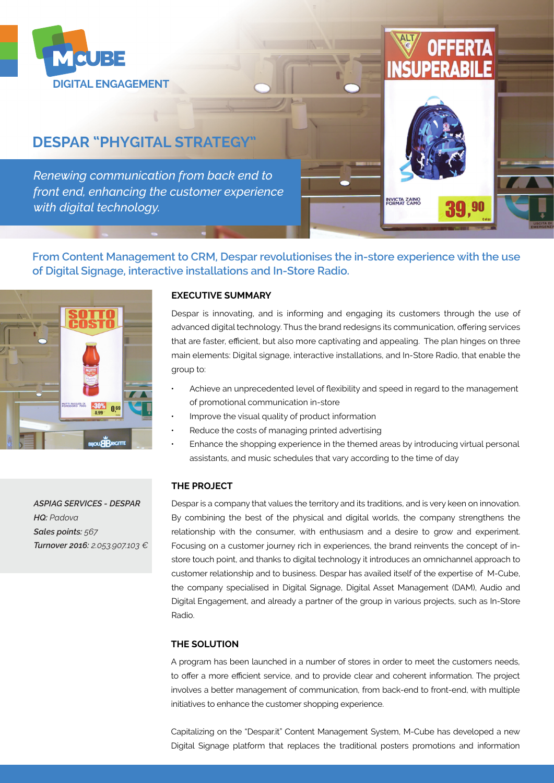

# **DESPAR "PHYGITAL STRATEGY"**

*Renewing communication from back end to front end, enhancing the customer experience with digital technology.*



**OFFERTA** 

**From Content Management to CRM, Despar revolutionises the in-store experience with the use of Digital Signage, interactive installations and In-Store Radio.**



*ASPIAG SERVICES - DESPAR HQ: Padova Sales points: 567 Turnover 2016: 2.053.907.103 €*

## **EXECUTIVE SUMMARY**

Despar is innovating, and is informing and engaging its customers through the use of advanced digital technology. Thus the brand redesigns its communication, offering services that are faster, efficient, but also more captivating and appealing. The plan hinges on three main elements: Digital signage, interactive installations, and In-Store Radio, that enable the group to:

- Achieve an unprecedented level of flexibility and speed in regard to the management of promotional communication in-store
- Improve the visual quality of product information
- Reduce the costs of managing printed advertising
- Enhance the shopping experience in the themed areas by introducing virtual personal assistants, and music schedules that vary according to the time of day

## **THE PROJECT**

Despar is a company that values the territory and its traditions, and is very keen on innovation. By combining the best of the physical and digital worlds, the company strengthens the relationship with the consumer, with enthusiasm and a desire to grow and experiment. Focusing on a customer journey rich in experiences, the brand reinvents the concept of instore touch point, and thanks to digital technology it introduces an omnichannel approach to customer relationship and to business. Despar has availed itself of the expertise of M-Cube, the company specialised in Digital Signage, Digital Asset Management (DAM), Audio and Digital Engagement, and already a partner of the group in various projects, such as In-Store Radio.

#### **THE SOLUTION**

A program has been launched in a number of stores in order to meet the customers needs, to offer a more efficient service, and to provide clear and coherent information. The project involves a better management of communication, from back-end to front-end, with multiple initiatives to enhance the customer shopping experience.

Capitalizing on the "Despar.it" Content Management System, M-Cube has developed a new Digital Signage platform that replaces the traditional posters promotions and information